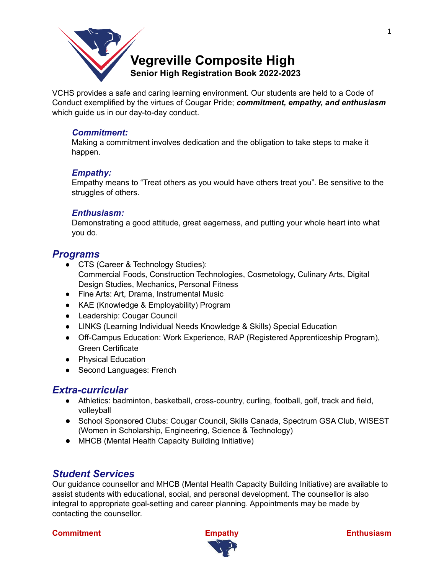

VCHS provides a safe and caring learning environment. Our students are held to a Code of Conduct exemplified by the virtues of Cougar Pride; *commitment, empathy, and enthusiasm* which guide us in our day-to-day conduct.

## *Commitment:*

Making a commitment involves dedication and the obligation to take steps to make it happen.

#### *Empathy:*

Empathy means to "Treat others as you would have others treat you". Be sensitive to the struggles of others.

#### *Enthusiasm:*

Demonstrating a good attitude, great eagerness, and putting your whole heart into what you do.

# *Programs*

- CTS (Career & Technology Studies): Commercial Foods, Construction Technologies, Cosmetology, Culinary Arts, Digital Design Studies, Mechanics, Personal Fitness
- Fine Arts: Art, Drama, Instrumental Music
- KAE (Knowledge & Employability) Program
- Leadership: Cougar Council
- LINKS (Learning Individual Needs Knowledge & Skills) Special Education
- Off-Campus Education: Work Experience, RAP (Registered Apprenticeship Program), Green Certificate
- Physical Education
- Second Languages: French

# *Extra-curricular*

- Athletics: badminton, basketball, cross-country, curling, football, golf, track and field, volleyball
- School Sponsored Clubs: Cougar Council, Skills Canada, Spectrum GSA Club, WISEST (Women in Scholarship, Engineering, Science & Technology)
- MHCB (Mental Health Capacity Building Initiative)

# *Student Services*

Our guidance counsellor and MHCB (Mental Health Capacity Building Initiative) are available to assist students with educational, social, and personal development. The counsellor is also integral to appropriate goal-setting and career planning. Appointments may be made by contacting the counsellor.



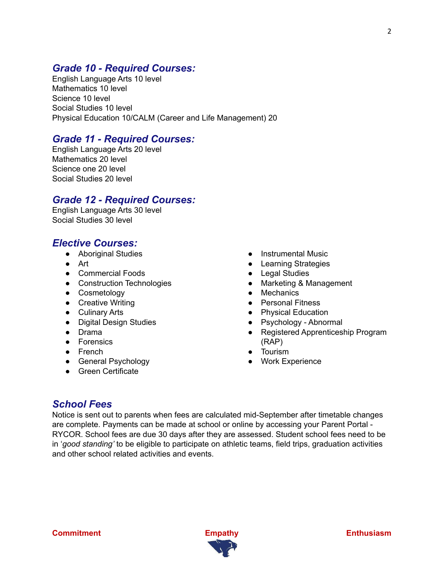# *Grade 10 - Required Courses:*

English Language Arts 10 level Mathematics 10 level Science 10 level Social Studies 10 level Physical Education 10/CALM (Career and Life Management) 20

# *Grade 11 - Required Courses:*

English Language Arts 20 level Mathematics 20 level Science one 20 level Social Studies 20 level

# *Grade 12 - Required Courses:*

English Language Arts 30 level Social Studies 30 level

# *Elective Courses:*

- Aboriginal Studies
- Art
- Commercial Foods
- Construction Technologies
- Cosmetology
- Creative Writing
- Culinary Arts
- Digital Design Studies
- Drama
- Forensics
- French
- General Psychology
- Green Certificate
- Instrumental Music
- Learning Strategies
- Legal Studies
- Marketing & Management
- Mechanics
- Personal Fitness
- Physical Education
- Psychology Abnormal
- Registered Apprenticeship Program (RAP)
- Tourism
- Work Experience

# *School Fees*

Notice is sent out to parents when fees are calculated mid-September after timetable changes are complete. Payments can be made at school or online by accessing your Parent Portal - RYCOR. School fees are due 30 days after they are assessed. Student school fees need to be in '*good standing'* to be eligible to participate on athletic teams, field trips, graduation activities and other school related activities and events.

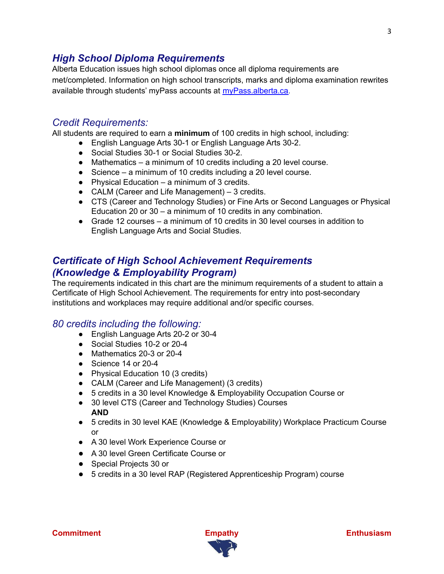# *High School Diploma Requirements*

Alberta Education issues high school diplomas once all diploma requirements are met/completed. Information on high school transcripts, marks and diploma examination rewrites available through students' myPass accounts at [myPass.alberta.ca.](http://www.education.alberta.ca/students/transcripts.aspx)

# *Credit Requirements:*

All students are required to earn a **minimum** of 100 credits in high school, including:

- English Language Arts 30-1 or English Language Arts 30-2.
- Social Studies 30-1 or Social Studies 30-2.
- Mathematics a minimum of 10 credits including a 20 level course.
- Science a minimum of 10 credits including a 20 level course.
- $\bullet$  Physical Education a minimum of 3 credits.
- CALM (Career and Life Management) 3 credits.
- CTS (Career and Technology Studies) or Fine Arts or Second Languages or Physical Education 20 or 30 – a minimum of 10 credits in any combination.
- Grade 12 courses a minimum of 10 credits in 30 level courses in addition to English Language Arts and Social Studies.

# *Certificate of High School Achievement Requirements (Knowledge & Employability Program)*

The requirements indicated in this chart are the minimum requirements of a student to attain a Certificate of High School Achievement. The requirements for entry into post-secondary institutions and workplaces may require additional and/or specific courses.

# *80 credits including the following:*

- English Language Arts 20-2 or 30-4
- Social Studies 10-2 or 20-4
- Mathematics 20-3 or 20-4
- Science 14 or 20-4
- Physical Education 10 (3 credits)
- CALM (Career and Life Management) (3 credits)
- 5 credits in a 30 level Knowledge & Employability Occupation Course or
- 30 level CTS (Career and Technology Studies) Courses **AND**
- 5 credits in 30 level KAE (Knowledge & Employability) Workplace Practicum Course or
- A 30 level Work Experience Course or
- A 30 level Green Certificate Course or
- Special Projects 30 or
- 5 credits in a 30 level RAP (Registered Apprenticeship Program) course

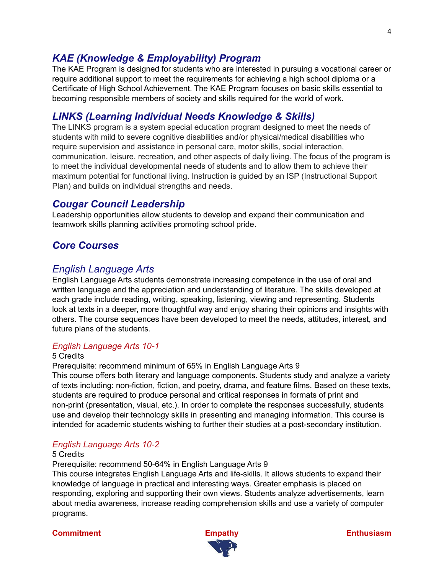# *KAE (Knowledge & Employability) Program*

The KAE Program is designed for students who are interested in pursuing a vocational career or require additional support to meet the requirements for achieving a high school diploma or a Certificate of High School Achievement. The KAE Program focuses on basic skills essential to becoming responsible members of society and skills required for the world of work.

# *LINKS (Learning Individual Needs Knowledge & Skills)*

The LINKS program is a system special education program designed to meet the needs of students with mild to severe cognitive disabilities and/or physical/medical disabilities who require supervision and assistance in personal care, motor skills, social interaction, communication, leisure, recreation, and other aspects of daily living. The focus of the program is to meet the individual developmental needs of students and to allow them to achieve their maximum potential for functional living. Instruction is guided by an ISP (Instructional Support Plan) and builds on individual strengths and needs.

# *Cougar Council Leadership*

Leadership opportunities allow students to develop and expand their communication and teamwork skills planning activities promoting school pride.

# *Core Courses*

# *English Language Arts*

English Language Arts students demonstrate increasing competence in the use of oral and written language and the appreciation and understanding of literature. The skills developed at each grade include reading, writing, speaking, listening, viewing and representing. Students look at texts in a deeper, more thoughtful way and enjoy sharing their opinions and insights with others. The course sequences have been developed to meet the needs, attitudes, interest, and future plans of the students.

# *English Language Arts 10-1*

## 5 Credits

Prerequisite: recommend minimum of 65% in English Language Arts 9

This course offers both literary and language components. Students study and analyze a variety of texts including: non-fiction, fiction, and poetry, drama, and feature films. Based on these texts, students are required to produce personal and critical responses in formats of print and non-print (presentation, visual, etc.). In order to complete the responses successfully, students use and develop their technology skills in presenting and managing information. This course is intended for academic students wishing to further their studies at a post-secondary institution.

# *English Language Arts 10-2*

#### 5 Credits

Prerequisite: recommend 50-64% in English Language Arts 9

This course integrates English Language Arts and life-skills. It allows students to expand their knowledge of language in practical and interesting ways. Greater emphasis is placed on responding, exploring and supporting their own views. Students analyze advertisements, learn about media awareness, increase reading comprehension skills and use a variety of computer programs.

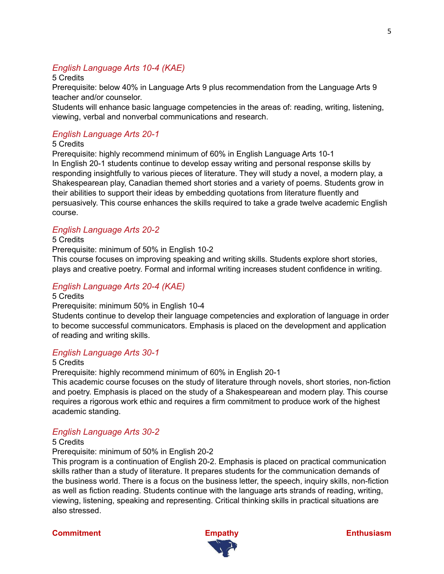# *English Language Arts 10-4 (KAE)*

5 Credits

Prerequisite: below 40% in Language Arts 9 plus recommendation from the Language Arts 9 teacher and/or counselor.

Students will enhance basic language competencies in the areas of: reading, writing, listening, viewing, verbal and nonverbal communications and research.

# *English Language Arts 20-1*

5 Credits

Prerequisite: highly recommend minimum of 60% in English Language Arts 10-1 In English 20-1 students continue to develop essay writing and personal response skills by responding insightfully to various pieces of literature. They will study a novel, a modern play, a Shakespearean play, Canadian themed short stories and a variety of poems. Students grow in their abilities to support their ideas by embedding quotations from literature fluently and persuasively. This course enhances the skills required to take a grade twelve academic English course.

# *English Language Arts 20-2*

5 Credits

Prerequisite: minimum of 50% in English 10-2

This course focuses on improving speaking and writing skills. Students explore short stories, plays and creative poetry. Formal and informal writing increases student confidence in writing.

# *English Language Arts 20-4 (KAE)*

5 Credits

Prerequisite: minimum 50% in English 10-4

Students continue to develop their language competencies and exploration of language in order to become successful communicators. Emphasis is placed on the development and application of reading and writing skills.

# *English Language Arts 30-1*

5 Credits

Prerequisite: highly recommend minimum of 60% in English 20-1

This academic course focuses on the study of literature through novels, short stories, non-fiction and poetry. Emphasis is placed on the study of a Shakespearean and modern play. This course requires a rigorous work ethic and requires a firm commitment to produce work of the highest academic standing.

# *English Language Arts 30-2*

#### 5 Credits

Prerequisite: minimum of 50% in English 20-2

This program is a continuation of English 20-2. Emphasis is placed on practical communication skills rather than a study of literature. It prepares students for the communication demands of the business world. There is a focus on the business letter, the speech, inquiry skills, non-fiction as well as fiction reading. Students continue with the language arts strands of reading, writing, viewing, listening, speaking and representing. Critical thinking skills in practical situations are also stressed.

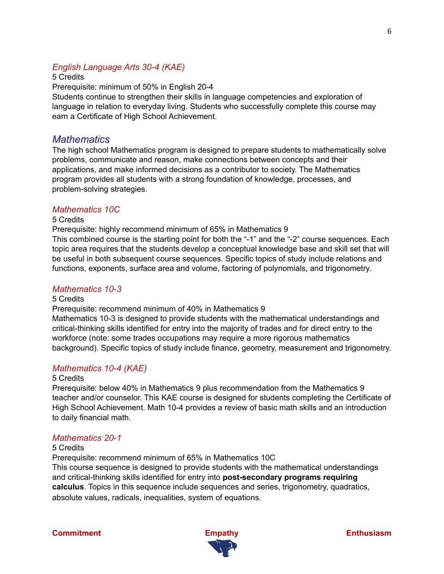# *English Language Arts 30-4 (KAE)*

5 Credits

Prerequisite: minimum of 50% in English 20-4

Students continue to strengthen their skills in language competencies and exploration of language in relation to everyday living. Students who successfully complete this course may earn a Certificate of High School Achievement.

# *Mathematics*

The high school Mathematics program is designed to prepare students to mathematically solve problems, communicate and reason, make connections between concepts and their applications, and make informed decisions as a contributor to society. The Mathematics program provides all students with a strong foundation of knowledge, processes, and problem-solving strategies.

## *Mathematics 10C*

#### 5 Credits

Prerequisite: highly recommend minimum of 65% in Mathematics 9

This combined course is the starting point for both the "-1" and the "-2" course sequences. Each topic area requires that the students develop a conceptual knowledge base and skill set that will be useful in both subsequent course sequences. Specific topics of study include relations and functions, exponents, surface area and volume, factoring of polynomials, and trigonometry.

## *Mathematics 10-3*

#### 5 Credits

Prerequisite: recommend minimum of 40% in Mathematics 9

Mathematics 10-3 is designed to provide students with the mathematical understandings and critical-thinking skills identified for entry into the majority of trades and for direct entry to the workforce (note: some trades occupations may require a more rigorous mathematics background). Specific topics of study include finance, geometry, measurement and trigonometry.

# *Mathematics 10-4 (KAE)*

#### 5 Credits

Prerequisite: below 40% in Mathematics 9 plus recommendation from the Mathematics 9 teacher and/or counselor. This KAE course is designed for students completing the Certificate of High School Achievement. Math 10-4 provides a review of basic math skills and an introduction to daily financial math.

# *Mathematics 20-1*

### 5 Credits

Prerequisite: recommend minimum of 65% in Mathematics 10C

This course sequence is designed to provide students with the mathematical understandings and critical-thinking skills identified for entry into **post-secondary programs requiring calculus**. Topics in this sequence include sequences and series, trigonometry, quadratics, absolute values, radicals, inequalities, system of equations*.*



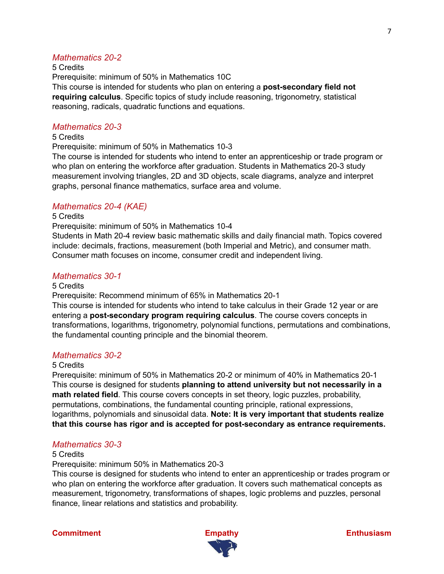# *Mathematics 20-2*

5 Credits Prerequisite: minimum of 50% in Mathematics 10C This course is intended for students who plan on entering a **post-secondary field not requiring calculus**. Specific topics of study include reasoning, trigonometry, statistical reasoning, radicals, quadratic functions and equations.

#### *Mathematics 20-3*

#### 5 Credits

Prerequisite: minimum of 50% in Mathematics 10-3

The course is intended for students who intend to enter an apprenticeship or trade program or who plan on entering the workforce after graduation. Students in Mathematics 20-3 study measurement involving triangles, 2D and 3D objects, scale diagrams, analyze and interpret graphs, personal finance mathematics, surface area and volume.

## *Mathematics 20-4 (KAE)*

#### 5 Credits

Prerequisite: minimum of 50% in Mathematics 10-4

Students in Math 20-4 review basic mathematic skills and daily financial math. Topics covered include: decimals, fractions, measurement (both Imperial and Metric), and consumer math. Consumer math focuses on income, consumer credit and independent living.

#### *Mathematics 30-1*

#### 5 Credits

Prerequisite: Recommend minimum of 65% in Mathematics 20-1

This course is intended for students who intend to take calculus in their Grade 12 year or are entering a **post-secondary program requiring calculus**. The course covers concepts in transformations, logarithms, trigonometry, polynomial functions, permutations and combinations, the fundamental counting principle and the binomial theorem.

#### *Mathematics 30-2*

#### 5 Credits

Prerequisite: minimum of 50% in Mathematics 20-2 or minimum of 40% in Mathematics 20-1 This course is designed for students **planning to attend university but not necessarily in a math related field**. This course covers concepts in set theory, logic puzzles, probability, permutations, combinations, the fundamental counting principle, rational expressions, logarithms, polynomials and sinusoidal data. **Note: It is very important that students realize that this course has rigor and is accepted for post-secondary as entrance requirements.**

## *Mathematics 30-3*

#### 5 Credits

Prerequisite: minimum 50% in Mathematics 20-3

This course is designed for students who intend to enter an apprenticeship or trades program or who plan on entering the workforce after graduation. It covers such mathematical concepts as measurement, trigonometry, transformations of shapes, logic problems and puzzles, personal finance, linear relations and statistics and probability.



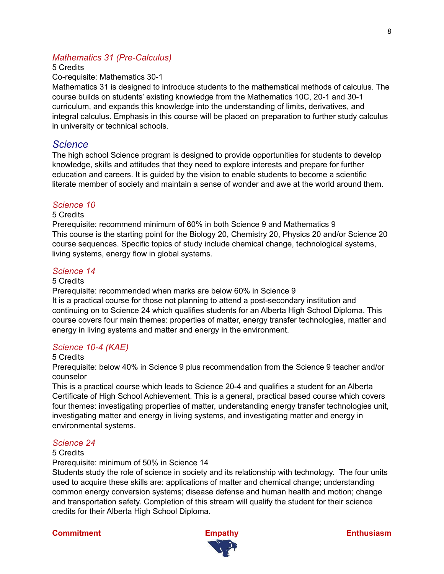## *Mathematics 31 (Pre-Calculus)*

#### 5 Credits

Co-requisite: Mathematics 30-1

Mathematics 31 is designed to introduce students to the mathematical methods of calculus. The course builds on students' existing knowledge from the Mathematics 10C, 20-1 and 30-1 curriculum, and expands this knowledge into the understanding of limits, derivatives, and integral calculus. Emphasis in this course will be placed on preparation to further study calculus in university or technical schools.

## *Science*

The high school Science program is designed to provide opportunities for students to develop knowledge, skills and attitudes that they need to explore interests and prepare for further education and careers. It is guided by the vision to enable students to become a scientific literate member of society and maintain a sense of wonder and awe at the world around them.

#### *Science 10*

#### 5 Credits

Prerequisite: recommend minimum of 60% in both Science 9 and Mathematics 9 This course is the starting point for the Biology 20, Chemistry 20, Physics 20 and/or Science 20 course sequences. Specific topics of study include chemical change, technological systems, living systems, energy flow in global systems.

### *Science 14*

### 5 Credits

Prerequisite: recommended when marks are below 60% in Science 9

It is a practical course for those not planning to attend a post-secondary institution and continuing on to Science 24 which qualifies students for an Alberta High School Diploma. This course covers four main themes: properties of matter, energy transfer technologies, matter and energy in living systems and matter and energy in the environment.

### *Science 10-4 (KAE)*

#### 5 Credits

Prerequisite: below 40% in Science 9 plus recommendation from the Science 9 teacher and/or counselor

This is a practical course which leads to Science 20-4 and qualifies a student for an Alberta Certificate of High School Achievement. This is a general, practical based course which covers four themes: investigating properties of matter, understanding energy transfer technologies unit, investigating matter and energy in living systems, and investigating matter and energy in environmental systems.

#### *Science 24*

#### 5 Credits

Prerequisite: minimum of 50% in Science 14

Students study the role of science in society and its relationship with technology. The four units used to acquire these skills are: applications of matter and chemical change; understanding common energy conversion systems; disease defense and human health and motion; change and transportation safety. Completion of this stream will qualify the student for their science credits for their Alberta High School Diploma.



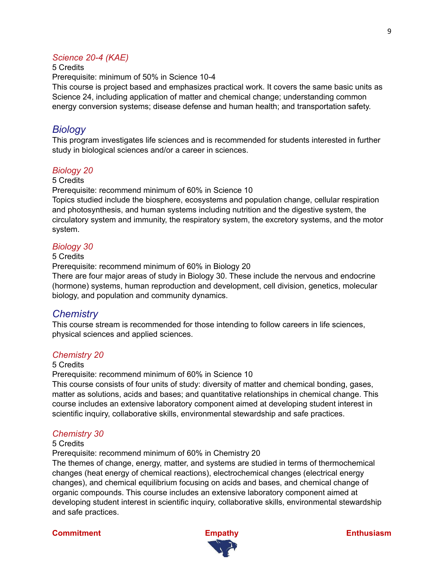## *Science 20-4 (KAE)*

### 5 Credits

Prerequisite: minimum of 50% in Science 10-4

This course is project based and emphasizes practical work. It covers the same basic units as Science 24, including application of matter and chemical change; understanding common energy conversion systems; disease defense and human health; and transportation safety.

# *Biology*

This program investigates life sciences and is recommended for students interested in further study in biological sciences and/or a career in sciences.

## *Biology 20*

### 5 Credits

Prerequisite: recommend minimum of 60% in Science 10

Topics studied include the biosphere, ecosystems and population change, cellular respiration and photosynthesis, and human systems including nutrition and the digestive system, the circulatory system and immunity, the respiratory system, the excretory systems, and the motor system.

#### *Biology 30*

### 5 Credits

Prerequisite: recommend minimum of 60% in Biology 20

There are four major areas of study in Biology 30. These include the nervous and endocrine (hormone) systems, human reproduction and development, cell division, genetics, molecular biology, and population and community dynamics.

# *Chemistry*

This course stream is recommended for those intending to follow careers in life sciences, physical sciences and applied sciences.

## *Chemistry 20*

### 5 Credits

Prerequisite: recommend minimum of 60% in Science 10

This course consists of four units of study: diversity of matter and chemical bonding, gases, matter as solutions, acids and bases; and quantitative relationships in chemical change. This course includes an extensive laboratory component aimed at developing student interest in scientific inquiry, collaborative skills, environmental stewardship and safe practices.

## *Chemistry 30*

#### 5 Credits

Prerequisite: recommend minimum of 60% in Chemistry 20

The themes of change, energy, matter, and systems are studied in terms of thermochemical changes (heat energy of chemical reactions), electrochemical changes (electrical energy changes), and chemical equilibrium focusing on acids and bases, and chemical change of organic compounds. This course includes an extensive laboratory component aimed at developing student interest in scientific inquiry, collaborative skills, environmental stewardship and safe practices.

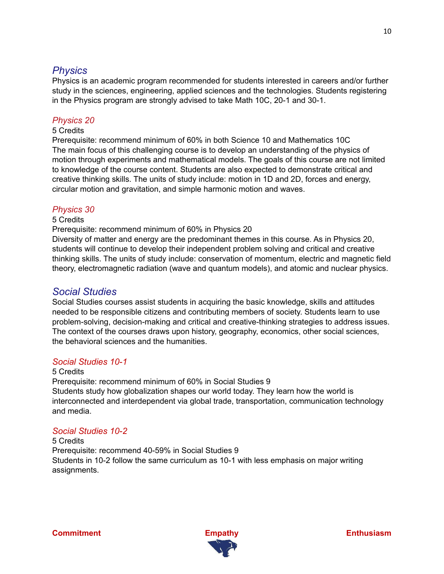# *Physics*

Physics is an academic program recommended for students interested in careers and/or further study in the sciences, engineering, applied sciences and the technologies. Students registering in the Physics program are strongly advised to take Math 10C, 20-1 and 30-1.

## *Physics 20*

#### 5 Credits

Prerequisite: recommend minimum of 60% in both Science 10 and Mathematics 10C The main focus of this challenging course is to develop an understanding of the physics of motion through experiments and mathematical models. The goals of this course are not limited to knowledge of the course content. Students are also expected to demonstrate critical and creative thinking skills. The units of study include: motion in 1D and 2D, forces and energy, circular motion and gravitation, and simple harmonic motion and waves.

## *Physics 30*

#### 5 Credits

Prerequisite: recommend minimum of 60% in Physics 20

Diversity of matter and energy are the predominant themes in this course. As in Physics 20, students will continue to develop their independent problem solving and critical and creative thinking skills. The units of study include: conservation of momentum, electric and magnetic field theory, electromagnetic radiation (wave and quantum models), and atomic and nuclear physics.

# *Social Studies*

Social Studies courses assist students in acquiring the basic knowledge, skills and attitudes needed to be responsible citizens and contributing members of society. Students learn to use problem-solving, decision-making and critical and creative-thinking strategies to address issues. The context of the courses draws upon history, geography, economics, other social sciences, the behavioral sciences and the humanities.

## *Social Studies 10-1*

#### 5 Credits

Prerequisite: recommend minimum of 60% in Social Studies 9 Students study how globalization shapes our world today. They learn how the world is interconnected and interdependent via global trade, transportation, communication technology and media.

# *Social Studies 10-2*

## 5 Credits Prerequisite: recommend 40-59% in Social Studies 9 Students in 10-2 follow the same curriculum as 10-1 with less emphasis on major writing assignments.

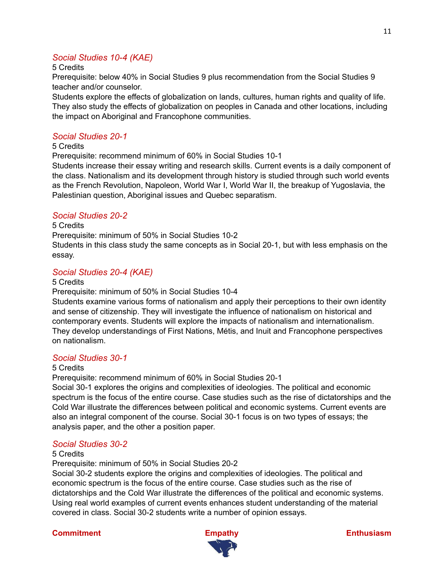# *Social Studies 10-4 (KAE)*

### 5 Credits

Prerequisite: below 40% in Social Studies 9 plus recommendation from the Social Studies 9 teacher and/or counselor.

Students explore the effects of globalization on lands, cultures, human rights and quality of life. They also study the effects of globalization on peoples in Canada and other locations, including the impact on Aboriginal and Francophone communities.

## *Social Studies 20-1*

#### 5 Credits

Prerequisite: recommend minimum of 60% in Social Studies 10-1

Students increase their essay writing and research skills. Current events is a daily component of the class. Nationalism and its development through history is studied through such world events as the French Revolution, Napoleon, World War I, World War II, the breakup of Yugoslavia, the Palestinian question, Aboriginal issues and Quebec separatism.

## *Social Studies 20-2*

#### 5 Credits

Prerequisite: minimum of 50% in Social Studies 10-2

Students in this class study the same concepts as in Social 20-1, but with less emphasis on the essay.

## *Social Studies 20-4 (KAE)*

#### 5 Credits

Prerequisite: minimum of 50% in Social Studies 10-4

Students examine various forms of nationalism and apply their perceptions to their own identity and sense of citizenship. They will investigate the influence of nationalism on historical and contemporary events. Students will explore the impacts of nationalism and internationalism. They develop understandings of First Nations, Métis, and Inuit and Francophone perspectives on nationalism.

# *Social Studies 30-1*

#### 5 Credits

Prerequisite: recommend minimum of 60% in Social Studies 20-1

Social 30-1 explores the origins and complexities of ideologies. The political and economic spectrum is the focus of the entire course. Case studies such as the rise of dictatorships and the Cold War illustrate the differences between political and economic systems. Current events are also an integral component of the course. Social 30-1 focus is on two types of essays; the analysis paper, and the other a position paper.

## *Social Studies 30-2*

#### 5 Credits

Prerequisite: minimum of 50% in Social Studies 20-2

Social 30-2 students explore the origins and complexities of ideologies. The political and economic spectrum is the focus of the entire course. Case studies such as the rise of dictatorships and the Cold War illustrate the differences of the political and economic systems. Using real world examples of current events enhances student understanding of the material covered in class. Social 30-2 students write a number of opinion essays.

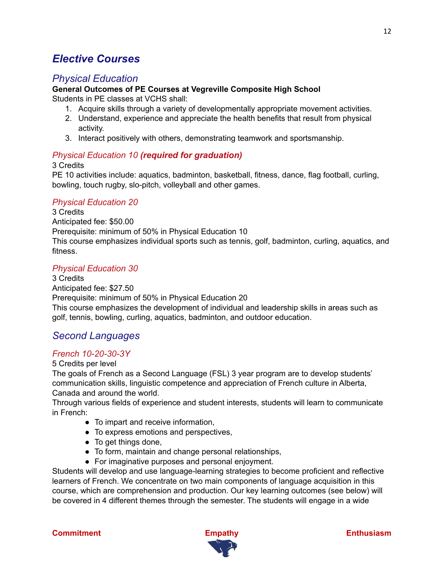# *Elective Courses*

# *Physical Education*

# **General Outcomes of PE Courses at Vegreville Composite High School**

Students in PE classes at VCHS shall:

- 1. Acquire skills through a variety of developmentally appropriate movement activities.
- 2. Understand, experience and appreciate the health benefits that result from physical activity.
- 3. Interact positively with others, demonstrating teamwork and sportsmanship.

## *Physical Education 10 (required for graduation)*

#### 3 Credits

PE 10 activities include: aquatics, badminton, basketball, fitness, dance, flag football, curling, bowling, touch rugby, slo-pitch, volleyball and other games.

## *Physical Education 20*

3 Credits Anticipated fee: \$50.00 Prerequisite: minimum of 50% in Physical Education 10 This course emphasizes individual sports such as tennis, golf, badminton, curling, aquatics, and fitness.

## *Physical Education 30*

3 Credits Anticipated fee: \$27.50 Prerequisite: minimum of 50% in Physical Education 20 This course emphasizes the development of individual and leadership skills in areas such as golf, tennis, bowling, curling, aquatics, badminton, and outdoor education.

# *Second Languages*

# *French 10-20-30-3Y*

#### 5 Credits per level

The goals of French as a Second Language (FSL) 3 year program are to develop students' communication skills, linguistic competence and appreciation of French culture in Alberta, Canada and around the world.

Through various fields of experience and student interests, students will learn to communicate in French:

- To impart and receive information,
- To express emotions and perspectives,
- To get things done,
- To form, maintain and change personal relationships,
- For imaginative purposes and personal enjoyment.

Students will develop and use language-learning strategies to become proficient and reflective learners of French. We concentrate on two main components of language acquisition in this course, which are comprehension and production. Our key learning outcomes (see below) will be covered in 4 different themes through the semester. The students will engage in a wide



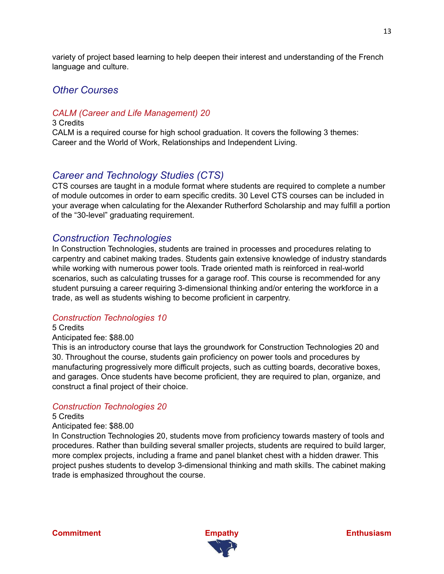variety of project based learning to help deepen their interest and understanding of the French language and culture.

# *Other Courses*

# *CALM (Career and Life Management) 20*

3 Credits CALM is a required course for high school graduation. It covers the following 3 themes: Career and the World of Work, Relationships and Independent Living.

# *Career and Technology Studies (CTS)*

CTS courses are taught in a module format where students are required to complete a number of module outcomes in order to earn specific credits. 30 Level CTS courses can be included in your average when calculating for the Alexander Rutherford Scholarship and may fulfill a portion of the "30-level" graduating requirement.

# *Construction Technologies*

In Construction Technologies, students are trained in processes and procedures relating to carpentry and cabinet making trades. Students gain extensive knowledge of industry standards while working with numerous power tools. Trade oriented math is reinforced in real-world scenarios, such as calculating trusses for a garage roof. This course is recommended for any student pursuing a career requiring 3-dimensional thinking and/or entering the workforce in a trade, as well as students wishing to become proficient in carpentry.

## *Construction Technologies 10*

5 Credits

#### Anticipated fee: \$88.00

This is an introductory course that lays the groundwork for Construction Technologies 20 and 30. Throughout the course, students gain proficiency on power tools and procedures by manufacturing progressively more difficult projects, such as cutting boards, decorative boxes, and garages. Once students have become proficient, they are required to plan, organize, and construct a final project of their choice.

## *Construction Technologies 20*

#### 5 Credits

#### Anticipated fee: \$88.00

In Construction Technologies 20, students move from proficiency towards mastery of tools and procedures. Rather than building several smaller projects, students are required to build larger, more complex projects, including a frame and panel blanket chest with a hidden drawer. This project pushes students to develop 3-dimensional thinking and math skills. The cabinet making trade is emphasized throughout the course.

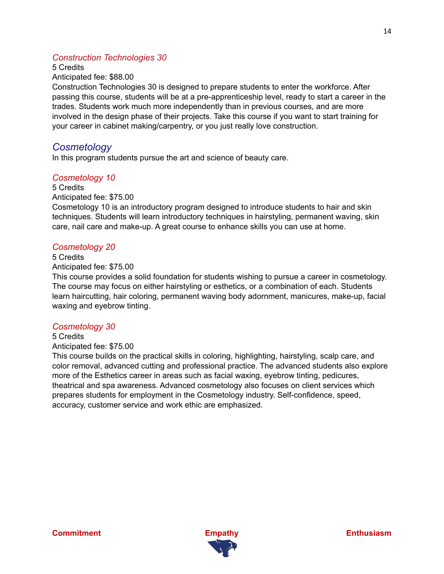# *Construction Technologies 30*

5 Credits

Anticipated fee: \$88.00

Construction Technologies 30 is designed to prepare students to enter the workforce. After passing this course, students will be at a pre-apprenticeship level, ready to start a career in the trades. Students work much more independently than in previous courses, and are more involved in the design phase of their projects. Take this course if you want to start training for your career in cabinet making/carpentry, or you just really love construction.

# *Cosmetology*

In this program students pursue the art and science of beauty care.

# *Cosmetology 10*

5 Credits Anticipated fee: \$75.00 Cosmetology 10 is an introductory program designed to introduce students to hair and skin techniques. Students will learn introductory techniques in hairstyling, permanent waving, skin care, nail care and make-up. A great course to enhance skills you can use at home.

## *Cosmetology 20*

5 Credits Anticipated fee: \$75.00

This course provides a solid foundation for students wishing to pursue a career in cosmetology. The course may focus on either hairstyling or esthetics, or a combination of each. Students learn haircutting, hair coloring, permanent waving body adornment, manicures, make-up, facial waxing and eyebrow tinting.

## *Cosmetology 30*

5 Credits

Anticipated fee: \$75.00

This course builds on the practical skills in coloring, highlighting, hairstyling, scalp care, and color removal, advanced cutting and professional practice. The advanced students also explore more of the Esthetics career in areas such as facial waxing, eyebrow tinting, pedicures, theatrical and spa awareness. Advanced cosmetology also focuses on client services which prepares students for employment in the Cosmetology industry. Self-confidence, speed, accuracy, customer service and work ethic are emphasized.

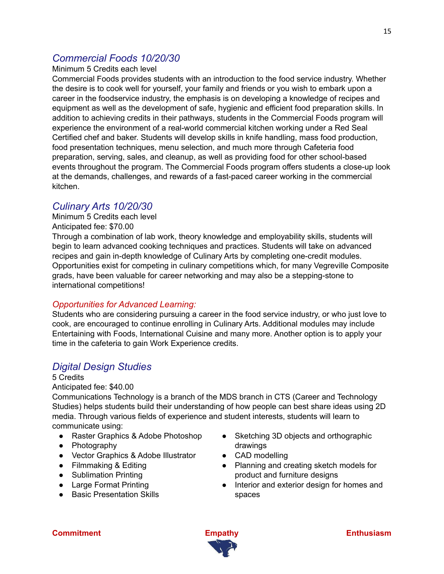# *Commercial Foods 10/20/30*

## Minimum 5 Credits each level

Commercial Foods provides students with an introduction to the food service industry. Whether the desire is to cook well for yourself, your family and friends or you wish to embark upon a career in the foodservice industry, the emphasis is on developing a knowledge of recipes and equipment as well as the development of safe, hygienic and efficient food preparation skills. In addition to achieving credits in their pathways, students in the Commercial Foods program will experience the environment of a real-world commercial kitchen working under a Red Seal Certified chef and baker. Students will develop skills in knife handling, mass food production, food presentation techniques, menu selection, and much more through Cafeteria food preparation, serving, sales, and cleanup, as well as providing food for other school-based events throughout the program. The Commercial Foods program offers students a close-up look at the demands, challenges, and rewards of a fast-paced career working in the commercial kitchen.

# *Culinary Arts 10/20/30*

Minimum 5 Credits each level Anticipated fee: \$70.00

Through a combination of lab work, theory knowledge and employability skills, students will begin to learn advanced cooking techniques and practices. Students will take on advanced recipes and gain in-depth knowledge of Culinary Arts by completing one-credit modules. Opportunities exist for competing in culinary competitions which, for many Vegreville Composite grads, have been valuable for career networking and may also be a stepping-stone to international competitions!

# *Opportunities for Advanced Learning:*

Students who are considering pursuing a career in the food service industry, or who just love to cook, are encouraged to continue enrolling in Culinary Arts. Additional modules may include Entertaining with Foods, International Cuisine and many more. Another option is to apply your time in the cafeteria to gain Work Experience credits.

# *Digital Design Studies*

# 5 Credits

Anticipated fee: \$40.00

Communications Technology is a branch of the MDS branch in CTS (Career and Technology Studies) helps students build their understanding of how people can best share ideas using 2D media. Through various fields of experience and student interests, students will learn to communicate using:

- Raster Graphics & Adobe Photoshop
- Photography
- Vector Graphics & Adobe Illustrator
- Filmmaking & Editing
- Sublimation Printing
- Large Format Printing
- Basic Presentation Skills
- Sketching 3D objects and orthographic drawings
- CAD modelling
- Planning and creating sketch models for product and furniture designs
- Interior and exterior design for homes and spaces

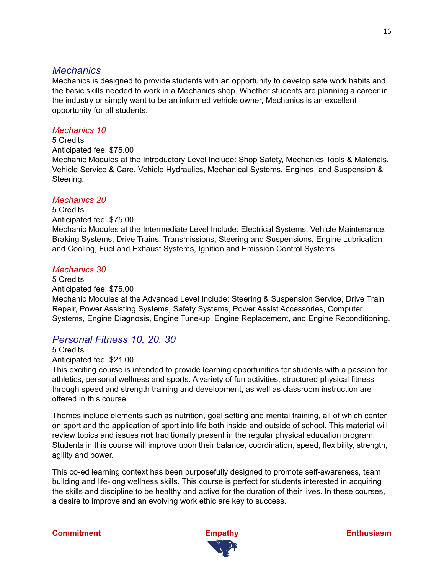# *Mechanics*

Mechanics is designed to provide students with an opportunity to develop safe work habits and the basic skills needed to work in a Mechanics shop. Whether students are planning a career in the industry or simply want to be an informed vehicle owner, Mechanics is an excellent opportunity for all students.

# *Mechanics 10*

5 Credits

Anticipated fee: \$75.00

Mechanic Modules at the Introductory Level Include: Shop Safety, Mechanics Tools & Materials, Vehicle Service & Care, Vehicle Hydraulics, Mechanical Systems, Engines, and Suspension & Steering.

# *Mechanics 20*

5 Credits Anticipated fee: \$75.00 Mechanic Modules at the Intermediate Level Include: Electrical Systems, Vehicle Maintenance, Braking Systems, Drive Trains, Transmissions, Steering and Suspensions, Engine Lubrication and Cooling, Fuel and Exhaust Systems, Ignition and Emission Control Systems.

# *Mechanics 30*

5 Credits Anticipated fee: \$75.00 Mechanic Modules at the Advanced Level Include: Steering & Suspension Service, Drive Train Repair, Power Assisting Systems, Safety Systems, Power Assist Accessories, Computer Systems, Engine Diagnosis, Engine Tune-up, Engine Replacement, and Engine Reconditioning.

# *Personal Fitness 10, 20, 30*

5 Credits Anticipated fee: \$21.00

This exciting course is intended to provide learning opportunities for students with a passion for athletics, personal wellness and sports. A variety of fun activities, structured physical fitness through speed and strength training and development, as well as classroom instruction are offered in this course.

Themes include elements such as nutrition, goal setting and mental training, all of which center on sport and the application of sport into life both inside and outside of school. This material will review topics and issues **not** traditionally present in the regular physical education program. Students in this course will improve upon their balance, coordination, speed, flexibility, strength, agility and power.

This co-ed learning context has been purposefully designed to promote self-awareness, team building and life-long wellness skills. This course is perfect for students interested in acquiring the skills and discipline to be healthy and active for the duration of their lives. In these courses, a desire to improve and an evolving work ethic are key to success.



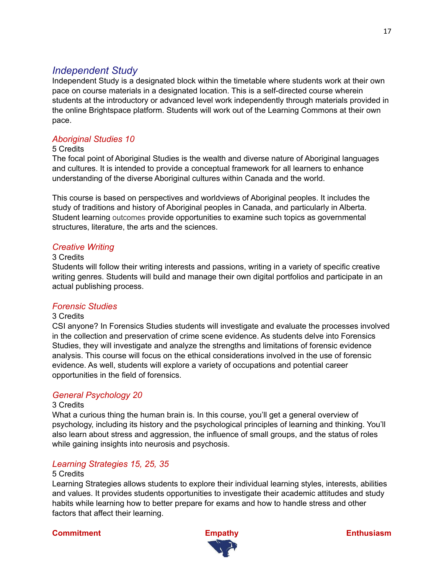# *Independent Study*

Independent Study is a designated block within the timetable where students work at their own pace on course materials in a designated location. This is a self-directed course wherein students at the introductory or advanced level work independently through materials provided in the online Brightspace platform. Students will work out of the Learning Commons at their own pace.

# *Aboriginal Studies 10*

#### 5 Credits

The focal point of Aboriginal Studies is the wealth and diverse nature of Aboriginal languages and cultures. It is intended to provide a conceptual framework for all learners to enhance understanding of the diverse Aboriginal cultures within Canada and the world.

This course is based on perspectives and worldviews of Aboriginal peoples. It includes the study of traditions and history of Aboriginal peoples in Canada, and particularly in Alberta. Student learning outcomes provide opportunities to examine such topics as governmental structures, literature, the arts and the sciences.

# *Creative Writing*

#### 3 Credits

Students will follow their writing interests and passions, writing in a variety of specific creative writing genres. Students will build and manage their own digital portfolios and participate in an actual publishing process.

# *Forensic Studies*

## 3 Credits

CSI anyone? In Forensics Studies students will investigate and evaluate the processes involved in the collection and preservation of crime scene evidence. As students delve into Forensics Studies, they will investigate and analyze the strengths and limitations of forensic evidence analysis. This course will focus on the ethical considerations involved in the use of forensic evidence. As well, students will explore a variety of occupations and potential career opportunities in the field of forensics.

# *General Psychology 20*

#### 3 Credits

What a curious thing the human brain is. In this course, you'll get a general overview of psychology, including its history and the psychological principles of learning and thinking. You'll also learn about stress and aggression, the influence of small groups, and the status of roles while gaining insights into neurosis and psychosis.

# *Learning Strategies 15, 25, 35*

#### 5 Credits

Learning Strategies allows students to explore their individual learning styles, interests, abilities and values. It provides students opportunities to investigate their academic attitudes and study habits while learning how to better prepare for exams and how to handle stress and other factors that affect their learning.



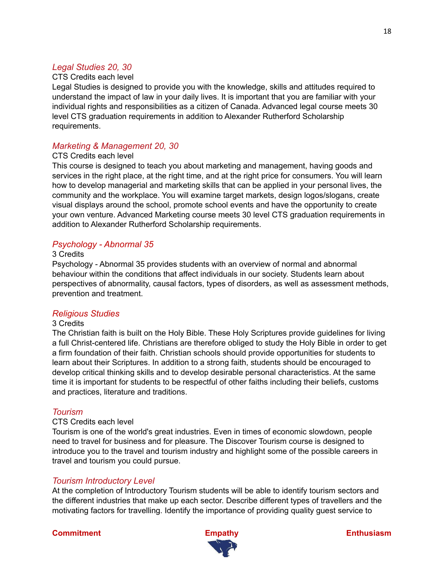### *Legal Studies 20, 30*

#### CTS Credits each level

Legal Studies is designed to provide you with the knowledge, skills and attitudes required to understand the impact of law in your daily lives. It is important that you are familiar with your individual rights and responsibilities as a citizen of Canada. Advanced legal course meets 30 level CTS graduation requirements in addition to Alexander Rutherford Scholarship requirements.

## *Marketing & Management 20, 30*

#### CTS Credits each level

This course is designed to teach you about marketing and management, having goods and services in the right place, at the right time, and at the right price for consumers. You will learn how to develop managerial and marketing skills that can be applied in your personal lives, the community and the workplace. You will examine target markets, design logos/slogans, create visual displays around the school, promote school events and have the opportunity to create your own venture. Advanced Marketing course meets 30 level CTS graduation requirements in addition to Alexander Rutherford Scholarship requirements.

#### *Psychology - Abnormal 35*

#### 3 Credits

Psychology - Abnormal 35 provides students with an overview of normal and abnormal behaviour within the conditions that affect individuals in our society. Students learn about perspectives of abnormality, causal factors, types of disorders, as well as assessment methods, prevention and treatment.

#### *Religious Studies*

#### 3 Credits

The Christian faith is built on the Holy Bible. These Holy Scriptures provide guidelines for living a full Christ-centered life. Christians are therefore obliged to study the Holy Bible in order to get a firm foundation of their faith. Christian schools should provide opportunities for students to learn about their Scriptures. In addition to a strong faith, students should be encouraged to develop critical thinking skills and to develop desirable personal characteristics. At the same time it is important for students to be respectful of other faiths including their beliefs, customs and practices, literature and traditions.

#### *Tourism*

#### CTS Credits each level

Tourism is one of the world's great industries. Even in times of economic slowdown, people need to travel for business and for pleasure. The Discover Tourism course is designed to introduce you to the travel and tourism industry and highlight some of the possible careers in travel and tourism you could pursue.

#### *Tourism Introductory Level*

At the completion of Introductory Tourism students will be able to identify tourism sectors and the different industries that make up each sector. Describe different types of travellers and the motivating factors for travelling. Identify the importance of providing quality guest service to

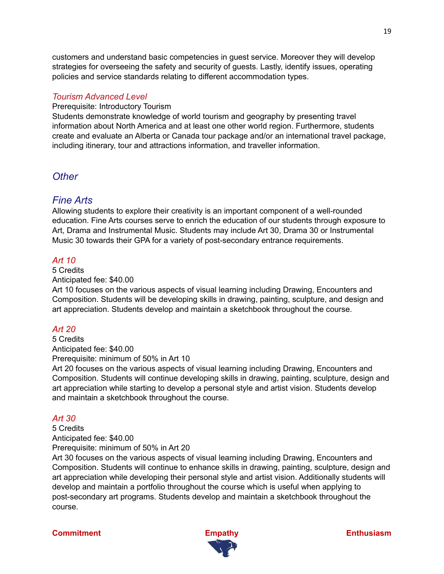customers and understand basic competencies in guest service. Moreover they will develop strategies for overseeing the safety and security of guests. Lastly, identify issues, operating policies and service standards relating to different accommodation types.

## *Tourism Advanced Level*

Prerequisite: Introductory Tourism

Students demonstrate knowledge of world tourism and geography by presenting travel information about North America and at least one other world region. Furthermore, students create and evaluate an Alberta or Canada tour package and/or an international travel package, including itinerary, tour and attractions information, and traveller information.

# *Other*

# *Fine Arts*

Allowing students to explore their creativity is an important component of a well-rounded education. Fine Arts courses serve to enrich the education of our students through exposure to Art, Drama and Instrumental Music. Students may include Art 30, Drama 30 or Instrumental Music 30 towards their GPA for a variety of post-secondary entrance requirements.

# *Art 10*

#### 5 Credits Anticipated fee: \$40.00

Art 10 focuses on the various aspects of visual learning including Drawing, Encounters and Composition. Students will be developing skills in drawing, painting, sculpture, and design and art appreciation. Students develop and maintain a sketchbook throughout the course.

# *Art 20*

5 Credits Anticipated fee: \$40.00 Prerequisite: minimum of 50% in Art 10

Art 20 focuses on the various aspects of visual learning including Drawing, Encounters and Composition. Students will continue developing skills in drawing, painting, sculpture, design and art appreciation while starting to develop a personal style and artist vision. Students develop and maintain a sketchbook throughout the course.

# *Art 30*

5 Credits Anticipated fee: \$40.00 Prerequisite: minimum of 50% in Art 20

Art 30 focuses on the various aspects of visual learning including Drawing, Encounters and Composition. Students will continue to enhance skills in drawing, painting, sculpture, design and art appreciation while developing their personal style and artist vision. Additionally students will develop and maintain a portfolio throughout the course which is useful when applying to post-secondary art programs. Students develop and maintain a sketchbook throughout the course.



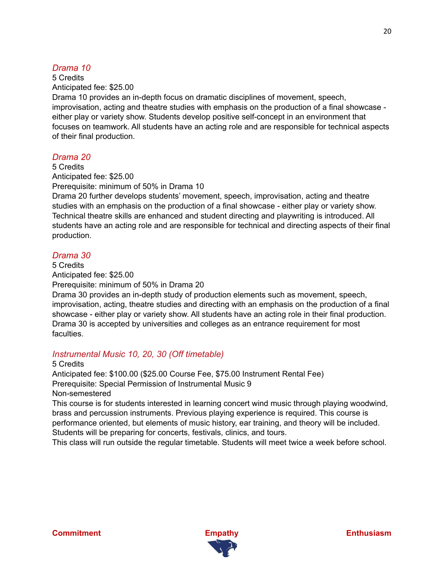# *Drama 10*

5 Credits Anticipated fee: \$25.00

Drama 10 provides an in-depth focus on dramatic disciplines of movement, speech, improvisation, acting and theatre studies with emphasis on the production of a final showcase either play or variety show. Students develop positive self-concept in an environment that focuses on teamwork. All students have an acting role and are responsible for technical aspects of their final production.

# *Drama 20*

5 Credits Anticipated fee: \$25.00 Prerequisite: minimum of 50% in Drama 10

Drama 20 further develops students' movement, speech, improvisation, acting and theatre studies with an emphasis on the production of a final showcase - either play or variety show. Technical theatre skills are enhanced and student directing and playwriting is introduced. All students have an acting role and are responsible for technical and directing aspects of their final production.

# *Drama 30*

5 Credits Anticipated fee: \$25.00

Prerequisite: minimum of 50% in Drama 20

Drama 30 provides an in-depth study of production elements such as movement, speech, improvisation, acting, theatre studies and directing with an emphasis on the production of a final showcase - either play or variety show. All students have an acting role in their final production. Drama 30 is accepted by universities and colleges as an entrance requirement for most faculties.

# *Instrumental Music 10, 20, 30 (Off timetable)*

5 Credits

Anticipated fee: \$100.00 (\$25.00 Course Fee, \$75.00 Instrument Rental Fee) Prerequisite: Special Permission of Instrumental Music 9 Non-semestered

This course is for students interested in learning concert wind music through playing woodwind, brass and percussion instruments. Previous playing experience is required. This course is performance oriented, but elements of music history, ear training, and theory will be included. Students will be preparing for concerts, festivals, clinics, and tours.

This class will run outside the regular timetable. Students will meet twice a week before school.